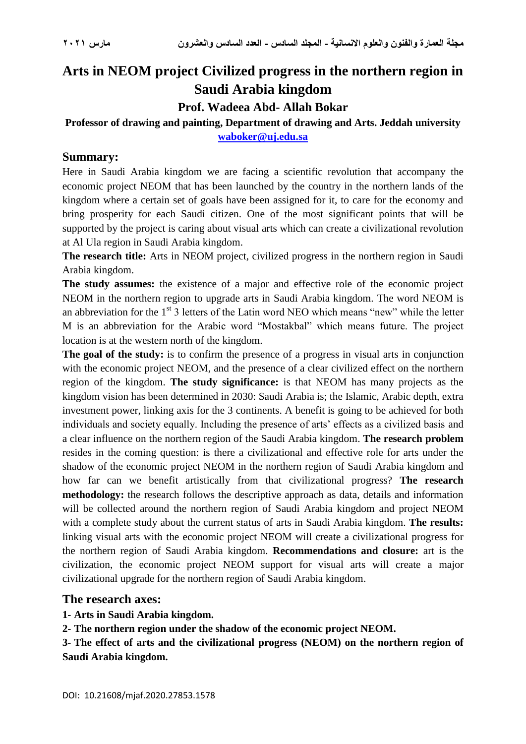# **Arts in NEOM project Civilized progress in the northern region in Saudi Arabia kingdom**

**Prof. Wadeea Abd- Allah Bokar**

# **Professor of drawing and painting, Department of drawing and Arts. Jeddah university [waboker@uj.edu.sa](mailto:wbuker@kau.edu.sa)**

#### **Summary:**

Here in Saudi Arabia kingdom we are facing a scientific revolution that accompany the economic project NEOM that has been launched by the country in the northern lands of the kingdom where a certain set of goals have been assigned for it, to care for the economy and bring prosperity for each Saudi citizen. One of the most significant points that will be supported by the project is caring about visual arts which can create a civilizational revolution at Al Ula region in Saudi Arabia kingdom.

**The research title:** Arts in NEOM project, civilized progress in the northern region in Saudi Arabia kingdom.

**The study assumes:** the existence of a major and effective role of the economic project NEOM in the northern region to upgrade arts in Saudi Arabia kingdom. The word NEOM is an abbreviation for the  $1<sup>st</sup>$  3 letters of the Latin word NEO which means "new" while the letter M is an abbreviation for the Arabic word "Mostakbal" which means future. The project location is at the western north of the kingdom.

**The goal of the study:** is to confirm the presence of a progress in visual arts in conjunction with the economic project NEOM, and the presence of a clear civilized effect on the northern region of the kingdom. **The study significance:** is that NEOM has many projects as the kingdom vision has been determined in 2030: Saudi Arabia is; the Islamic, Arabic depth, extra investment power, linking axis for the 3 continents. A benefit is going to be achieved for both individuals and society equally. Including the presence of arts' effects as a civilized basis and a clear influence on the northern region of the Saudi Arabia kingdom. **The research problem** resides in the coming question: is there a civilizational and effective role for arts under the shadow of the economic project NEOM in the northern region of Saudi Arabia kingdom and how far can we benefit artistically from that civilizational progress? **The research methodology:** the research follows the descriptive approach as data, details and information will be collected around the northern region of Saudi Arabia kingdom and project NEOM with a complete study about the current status of arts in Saudi Arabia kingdom. **The results:** linking visual arts with the economic project NEOM will create a civilizational progress for the northern region of Saudi Arabia kingdom. **Recommendations and closure:** art is the civilization, the economic project NEOM support for visual arts will create a major civilizational upgrade for the northern region of Saudi Arabia kingdom.

#### **The research axes:**

**1- Arts in Saudi Arabia kingdom.**

**2- The northern region under the shadow of the economic project NEOM.**

**3- The effect of arts and the civilizational progress (NEOM) on the northern region of Saudi Arabia kingdom.**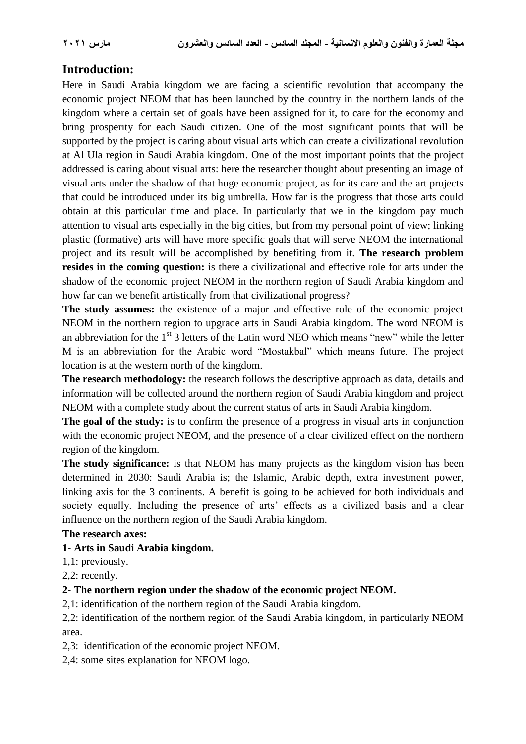# **Introduction:**

Here in Saudi Arabia kingdom we are facing a scientific revolution that accompany the economic project NEOM that has been launched by the country in the northern lands of the kingdom where a certain set of goals have been assigned for it, to care for the economy and bring prosperity for each Saudi citizen. One of the most significant points that will be supported by the project is caring about visual arts which can create a civilizational revolution at Al Ula region in Saudi Arabia kingdom. One of the most important points that the project addressed is caring about visual arts: here the researcher thought about presenting an image of visual arts under the shadow of that huge economic project, as for its care and the art projects that could be introduced under its big umbrella. How far is the progress that those arts could obtain at this particular time and place. In particularly that we in the kingdom pay much attention to visual arts especially in the big cities, but from my personal point of view; linking plastic (formative) arts will have more specific goals that will serve NEOM the international project and its result will be accomplished by benefiting from it. **The research problem resides in the coming question:** is there a civilizational and effective role for arts under the shadow of the economic project NEOM in the northern region of Saudi Arabia kingdom and how far can we benefit artistically from that civilizational progress?

**The study assumes:** the existence of a major and effective role of the economic project NEOM in the northern region to upgrade arts in Saudi Arabia kingdom. The word NEOM is an abbreviation for the  $1<sup>st</sup>$  3 letters of the Latin word NEO which means "new" while the letter M is an abbreviation for the Arabic word "Mostakbal" which means future. The project location is at the western north of the kingdom.

**The research methodology:** the research follows the descriptive approach as data, details and information will be collected around the northern region of Saudi Arabia kingdom and project NEOM with a complete study about the current status of arts in Saudi Arabia kingdom.

**The goal of the study:** is to confirm the presence of a progress in visual arts in conjunction with the economic project NEOM, and the presence of a clear civilized effect on the northern region of the kingdom.

**The study significance:** is that NEOM has many projects as the kingdom vision has been determined in 2030: Saudi Arabia is; the Islamic, Arabic depth, extra investment power, linking axis for the 3 continents. A benefit is going to be achieved for both individuals and society equally. Including the presence of arts' effects as a civilized basis and a clear influence on the northern region of the Saudi Arabia kingdom.

#### **The research axes:**

#### **1- Arts in Saudi Arabia kingdom.**

1,1: previously.

2,2: recently.

#### **2- The northern region under the shadow of the economic project NEOM.**

2,1: identification of the northern region of the Saudi Arabia kingdom.

2,2: identification of the northern region of the Saudi Arabia kingdom, in particularly NEOM area.

2,3: identification of the economic project NEOM.

2,4: some sites explanation for NEOM logo.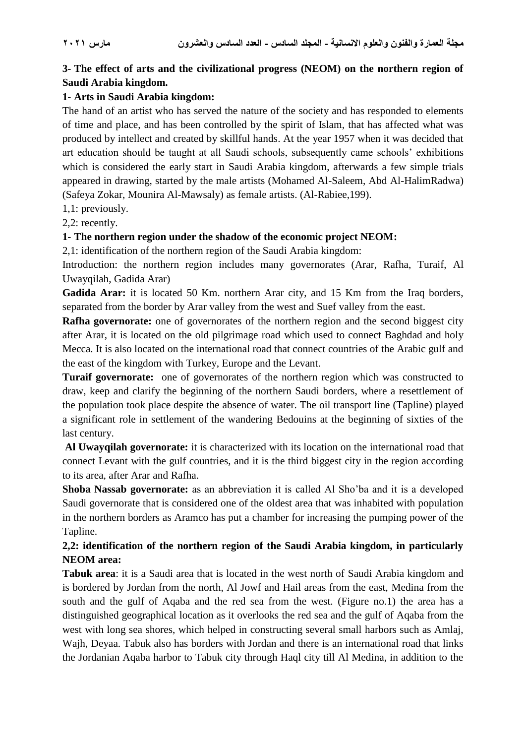# **3- The effect of arts and the civilizational progress (NEOM) on the northern region of Saudi Arabia kingdom.**

### **1- Arts in Saudi Arabia kingdom:**

The hand of an artist who has served the nature of the society and has responded to elements of time and place, and has been controlled by the spirit of Islam, that has affected what was produced by intellect and created by skillful hands. At the year 1957 when it was decided that art education should be taught at all Saudi schools, subsequently came schools' exhibitions which is considered the early start in Saudi Arabia kingdom, afterwards a few simple trials appeared in drawing, started by the male artists (Mohamed Al-Saleem, Abd Al-HalimRadwa) (Safeya Zokar, Mounira Al-Mawsaly) as female artists. (Al-Rabiee,199).

1,1: previously.

2,2: recently.

#### **1- The northern region under the shadow of the economic project NEOM:**

2,1: identification of the northern region of the Saudi Arabia kingdom:

Introduction: the northern region includes many governorates (Arar, Rafha, Turaif, Al Uwayqilah, Gadida Arar)

**Gadida Arar:** it is located 50 Km. northern Arar city, and 15 Km from the Iraq borders, separated from the border by Arar valley from the west and Suef valley from the east.

**Rafha governorate:** one of governorates of the northern region and the second biggest city after Arar, it is located on the old pilgrimage road which used to connect Baghdad and holy Mecca. It is also located on the international road that connect countries of the Arabic gulf and the east of the kingdom with Turkey, Europe and the Levant.

**Turaif governorate:** one of governorates of the northern region which was constructed to draw, keep and clarify the beginning of the northern Saudi borders, where a resettlement of the population took place despite the absence of water. The oil transport line (Tapline) played a significant role in settlement of the wandering Bedouins at the beginning of sixties of the last century.

**Al Uwayqilah governorate:** it is characterized with its location on the international road that connect Levant with the gulf countries, and it is the third biggest city in the region according to its area, after Arar and Rafha.

**Shoba Nassab governorate:** as an abbreviation it is called Al Sho'ba and it is a developed Saudi governorate that is considered one of the oldest area that was inhabited with population in the northern borders as Aramco has put a chamber for increasing the pumping power of the Tapline.

# **2,2: identification of the northern region of the Saudi Arabia kingdom, in particularly NEOM area:**

**Tabuk area**: it is a Saudi area that is located in the west north of Saudi Arabia kingdom and is bordered by Jordan from the north, Al Jowf and Hail areas from the east, Medina from the south and the gulf of Aqaba and the red sea from the west. (Figure no.1) the area has a distinguished geographical location as it overlooks the red sea and the gulf of Aqaba from the west with long sea shores, which helped in constructing several small harbors such as Amlaj, Wajh, Deyaa. Tabuk also has borders with Jordan and there is an international road that links the Jordanian Aqaba harbor to Tabuk city through Haql city till Al Medina, in addition to the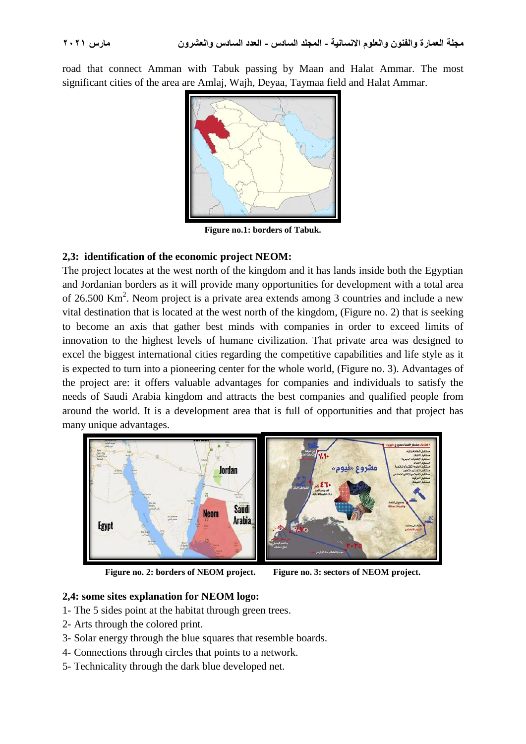road that connect Amman with Tabuk passing by Maan and Halat Ammar. The most significant cities of the area are Amlaj, Wajh, Deyaa, Taymaa field and Halat Ammar.



**Figure no.1: borders of Tabuk.**

#### **2,3: identification of the economic project NEOM:**

The project locates at the west north of the kingdom and it has lands inside both the Egyptian and Jordanian borders as it will provide many opportunities for development with a total area of 26.500 Km<sup>2</sup>. Neom project is a private area extends among 3 countries and include a new vital destination that is located at the west north of the kingdom, (Figure no. 2) that is seeking to become an axis that gather best minds with companies in order to exceed limits of innovation to the highest levels of humane civilization. That private area was designed to excel the biggest international cities regarding the competitive capabilities and life style as it is expected to turn into a pioneering center for the whole world, (Figure no. 3). Advantages of the project are: it offers valuable advantages for companies and individuals to satisfy the needs of Saudi Arabia kingdom and attracts the best companies and qualified people from around the world. It is a development area that is full of opportunities and that project has many unique advantages.





**Figure no. 2: borders of NEOM project. Figure no. 3: sectors of NEOM project.**

#### **2,4: some sites explanation for NEOM logo:**

- 1- The 5 sides point at the habitat through green trees.
- 2- Arts through the colored print.
- 3- Solar energy through the blue squares that resemble boards.
- 4- Connections through circles that points to a network.
- 5- Technicality through the dark blue developed net.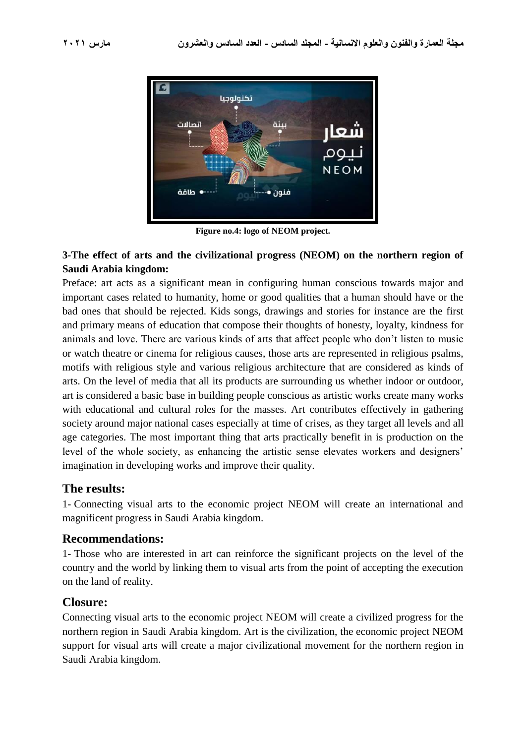

**Figure no.4: logo of NEOM project.**

# **3-The effect of arts and the civilizational progress (NEOM) on the northern region of Saudi Arabia kingdom:**

Preface: art acts as a significant mean in configuring human conscious towards major and important cases related to humanity, home or good qualities that a human should have or the bad ones that should be rejected. Kids songs, drawings and stories for instance are the first and primary means of education that compose their thoughts of honesty, loyalty, kindness for animals and love. There are various kinds of arts that affect people who don't listen to music or watch theatre or cinema for religious causes, those arts are represented in religious psalms, motifs with religious style and various religious architecture that are considered as kinds of arts. On the level of media that all its products are surrounding us whether indoor or outdoor, art is considered a basic base in building people conscious as artistic works create many works with educational and cultural roles for the masses. Art contributes effectively in gathering society around major national cases especially at time of crises, as they target all levels and all age categories. The most important thing that arts practically benefit in is production on the level of the whole society, as enhancing the artistic sense elevates workers and designers' imagination in developing works and improve their quality.

# **The results:**

1- Connecting visual arts to the economic project NEOM will create an international and magnificent progress in Saudi Arabia kingdom.

# **Recommendations:**

1- Those who are interested in art can reinforce the significant projects on the level of the country and the world by linking them to visual arts from the point of accepting the execution on the land of reality.

# **Closure:**

Connecting visual arts to the economic project NEOM will create a civilized progress for the northern region in Saudi Arabia kingdom. Art is the civilization, the economic project NEOM support for visual arts will create a major civilizational movement for the northern region in Saudi Arabia kingdom.